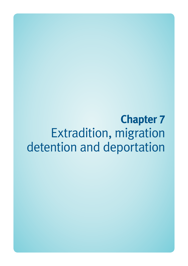**Chapter 7**  Extradition, migration detention and deportation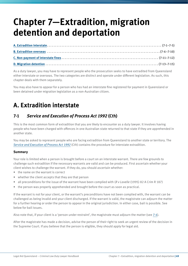# **Chapter 7—Extradition, migration detention and deportation**

As a duty lawyer, you may have to represent people who the prosecution seeks to have extradited from Queensland either interstate or overseas. The two categories are distinct and operate under different legislation. As such, this chapter deals with them separately.

You may also have to appear for a person who has had an interstate fine registered for payment in Queensland or been detained under migration legislation as a non-Australian citizen.

# **A. Extradition interstate**

## **7-1** *Service and Execution of Process Act 1992* **(Cth)**

This is the most common form of extradition that you are likely to encounter as a duty lawyer. It involves having people who have been charged with offences in one Australian state returned to that state if they are apprehended in another state.

You may be asked to represent people who are facing extradition from Queensland to another state or territory. The *[Service and Execution of Process Act 1992](http://www.comlaw.gov.au/Current/C2011C00436)* (Cth) contains the procedure for interstate extradition.

#### **Summary**

Your role is limited when a person is brought before a court on an interstate warrant. There are few grounds to challenge such extradition if the necessary warrants are valid and can be produced. First ascertain whether your client wishes to challenge the warrant. If they do, you should ascertain whether:

- the name on the warrant is correct
- whether the client accepts that they are that person
- all preconditions for the issue of the warrant have been complied with (*R v Lavelle* (1995) 82 A Crim R 187)
- the person was properly apprehended and brought before the court as soon as practical.

If the warrant is not for your client, or the warrant's preconditions have not been complied with, the warrant can be challenged as being invalid and your client discharged. If the warrant is valid, the magistrate can adjourn the matter for a further hearing or order the person to appear in the original jurisdiction. In either case, bail is possible. See below for bail issues.

Also note that, if your client is a 'person under restraint', the magistrate must adjourn the matter (see 7-4).

After the magistrate has made a decision, advise the person of their right to seek an urgent review of the decision in the Supreme Court. If you believe that the person is eligible, they should apply for legal aid.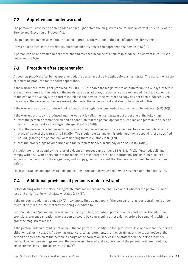#### **7-2 Apprehension under warrant**

The person will have been apprehended and brought before the magistrates court under a warrant under s 82 of the Service and Execution of Process Act.

The person making the arrest does not need to produce the warrant at the time of apprehension (s 82(4)).

Only a police officer (state or federal), sheriff or sheriff's officer can apprehend the person (s 82(3)).

A person can be re-arrested under a warrant and released because of a failure to produce the warrant in court (see below and  $s$  83(5)).

#### **7-3 Procedure after apprehension**

As soon as practical after being apprehended, the person must be brought before a magistrate. The warrant or a copy of it must be produced for the court appearance.

If the warrant or a copy is not produced,  $ss 83(3)-83(7)$  enable the magistrate to adjourn for up to five days if there is a reasonable cause for the delay. If the magistrate does adjourn, the person can be remanded in custody or on bail. At the end of the five days, the court must release the person if the warrant or a copy has not been produced. Even if this occurs, the person can be re-arrested later under the same warrant and should be advised of this.

If the warrant or a copy is produced but is invalid, the magistrate must order that the person be released (s  $83(10)$ ).

If the warrant or a copy is produced and the warrant is valid, the magistrate must order one of the following:

- 'that the person be remanded on bail on condition that the person appear at such time and place in the place of issue of the warrant as the magistrate specifies' (s 83(8)(a))
- 'that the person be taken, in such custody or otherwise as the magistrate specifies, to a specified place in the place of issue of the warrant' (s 83(8)(b)). The magistrate can make this order and then suspend it for a specified period, granting the person bail or remanding them in custody (s 83(12))
- that the proceedings be adjourned and the person remanded in custody or on bail (s  $83(14)(a)$ ).

A magistrate is not bound by the rules of evidence in proceedings under  $s$  83 (s 83(14)(b)). If granted, bail must comply with s 85, which sets out that the magistrate must prepare the bail instrument. The instrument must be signed by the person and the magistrate, and a copy given to the court that the person has been bailed to appear before.

The law of Queensland applies to bail applications—the state in which the person has been apprehended (s 88).

#### **7-4 Additional provisions if person is under restraint**

Before dealing with the matter, a magistrate must make reasonable enquiries about whether the person is under restraint and, if so, in which state or states (s 84(1)).

If the person is under restraint,  $s 84(2)$ –(10) apply. They do not apply if the person is not under restraint or is under restraint only in the state that they are being extradited to.

Section 3 defines 'person under restraint' as being on bail, probation, parole or other court order. The additional provisions prevent a situation where a person would be contravening other existing orders by complying with the order the magistrate makes.

If the person under restraint is not on bail, the magistrate must adjourn for up to seven days and remand the person either on bail or in custody. As soon as practical after adjournment, the magistrate must give cause notice of the person's apprehension to the person in charge of the correction service in the state where the person is under restraint. When proceedings resume, the person so informed and a supervisor of the person under restraint may make submissions to the magistrate (s 84(4)).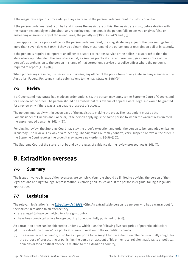If the magistrate adjourns proceedings, they can remand the person under restraint in custody or on bail.

If the person under restraint is on bail and informs the magistrate of this, the magistrate must, before dealing with the matter, reasonably enquire about any reporting requirements. If the person fails to answer, or gives false or misleading answers to any of those enquiries, the penalty is \$3000 (s 84(2) and (3)).

Upon application by a police officer or the person under restraint, the magistrate may adjourn the proceedings for no more than seven days (s 84(5)). If they do adjourn, they must remand the person under restraint on bail or in custody.

If the person is required to report to an officer of a state corrections service or the police in a state other than the state where apprehended, the magistrate must, as soon as practical after adjournment, give cause notice of the person's apprehension to the person in charge of that corrections service or a police officer where the person is required to report (s  $84(6)(a)$ ).

When proceedings resume, the person's supervisor, any officer of the police force of any state and any member of the Australian Federal Police may make submissions to the magistrate (s 84(6)(b)).

#### **7-5 Review**

If a Queensland magistrate has made an order under s 83, the person may apply to the Supreme Court of Queensland for a review of the order. The person should be advised that this avenue of appeal exists. Legal aid would be granted for a review only if there was a reasonable prospect of success.

The person must apply within seven days of the magistrate making the order. The respondent must be the Commissioner of Queensland Police or, if the person applying is the same person to whom the warrant was directed, the apprehended person (s  $86(1)$ –(3)).

Pending its review, the Supreme Court may stay the order's execution and order the person to be remanded on bail or in custody. The review is by way of a re-hearing. The Supreme Court may confirm, vary, suspend or revoke the order. If the Supreme Court revokes the order, it may make a new order (s 86(5)–(10)).

The Supreme Court of the state is not bound by the rules of evidence during review proceedings (s 86(14)).

# **B. Extradition overseas**

#### **7-6 Summary**

The issues involved in extradition overseas are complex. Your role should be limited to advising the person of their legal options and right to legal representation, exploring bail issues and, if the person is eligible, taking a legal aid application.

### **7-7 Legislation**

The relevant legislation is the *[Extradition Act 1988](http://www.comlaw.gov.au/Current/C2012C00497)* (Cth). An extraditable person is a person who has a warrant out for their arrest in relation to an offence they:

- are alleged to have committed in a foreign country
- have been convicted of in a foreign country but not yet fully punished for (s 6).

An extradition order can be objected to under s 7, which lists the following five categories of potential objection:

- (a) 'the extradition offence' is a political offence in relation to the extradition country;
- (b) the surrender of the person, in so far as it purports to be sought for the extradition offence, is actually sought for the purpose of prosecuting or punishing the person on account of his or her race, religion, nationality or political opinions or for a political offence in relation to the extradition country;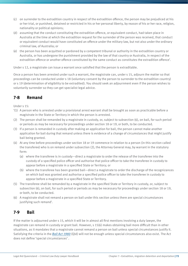- (c) on surrender to the extradition country in respect of the extradition offence, the person may be prejudiced at his or her trial, or punished, detained or restricted in his or her personal liberty, by reason of his or her race, religion, nationality or political opinions;
- (d) assuming that the conduct constituting the extradition offence, or equivalent conduct, had taken place in Australia at the time at which the extradition request for the surrender of the person was received, that conduct or equivalent conduct would have constituted an offence under the military law, but not also under the ordinary criminal law, of Australia; or
- (e) the person has been acquitted or pardoned by a competent tribunal or authority in the extradition country or Australia, or has undergone the punishment provided by the law of that country or Australia, in respect of the extradition offence or another offence constituted by the same conduct as constitutes the extradition offence'.

Under s 12, a magistrate can issue a warrant once satisfied that the person is extraditable.

Once a person has been arrested under such a warrant, the magistrate can, under s 15, adjourn the matter so that proceedings can be conducted under s 18 (voluntary consent by the person to surrender to the extradition country) or s 19 (determination of eligibility to be extradited). You should seek an adjournment even if the person wishes to voluntarily surrender so they can get specialist legal advice.

### **7-8 Remand**

Under s 15:

- '(1) A person who is arrested under a provisional arrest warrant shall be brought as soon as practicable before a magistrate in the State or Territory in which the person is arrested.
- (2) The person shall be remanded by a magistrate in custody, or, subject to subsection (6), on bail, for such period or periods as may be necessary for proceedings under section 18 or 19, or both, to be conducted.
- (3) If a person is remanded in custody after making an application for bail, the person cannot make another application for bail during that remand unless there is evidence of a change of circumstances that might justify bail being granted.
- (4) At any time before proceedings under section 18 or 19 commence in relation to a person (in this section called the transferee) who is on remand under subsection (2), the Attorney General may, by warrant in the statutory form:
	- (a) where the transferee is in custody—direct a magistrate to order the release of the transferee into the custody of a specified police officer and authorise that police officer to take the transferee in custody to appear before a magistrate in a specified State or Territory; or
	- (b) where the transferee has been granted bail—direct a magistrate to order the discharge of the recognizances on which bail was granted and authorise a specified police officer to take the transferee in custody to appear before a magistrate in a specified State or Territory.
- (5) The transferee shall be remanded by a magistrate in the specified State or Territory in custody, or, subject to subsection (6), on bail, for such period or periods as may be necessary for proceedings under section 18 or 19, or both, to be conducted.
- (6) A magistrate shall not remand a person on bail under this section unless there are special circumstances justifying such remand'.

### **7-9 Bail**

If the matter is adjourned under s 15, which it will be in almost all first mentions involving a duty lawyer, the magistrate can remand in custody or grant bail. However, s 15(6) makes obtaining bail more difficult than in other situations, as it mandates that a magistrate cannot remand a person on bail unless special circumstances justify it. Satisfying the criteria in the *[Bail Act 1980](http://www.legislation.qld.gov.au/LEGISLTN/CURRENT/B/BailA80.pdf)* (Qld) will not be enough unless special circumstances also exist. The Act does not define 'special circumstances' .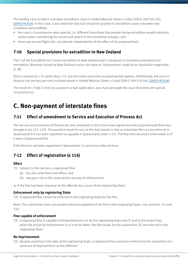The leading case on bail in overseas extradition cases is *United Mexican States v Cabal* (2001) 209 CLR 165; [\[2001\] HCA 60](http://www.austlii.edu.au/au/cases/cth/HCA/2001/60.html). In this case, it was held that that bail should be granted in extradition cases only when two conditions were fulfilled:

- the case's circumstances were special, i.e. different from those that people facing extradition would ordinarily endure when considering the nature and extent of the extradition charges, and
- there was no real flight risk, considered independently of the effect of the proposed bail.

#### **7-10 Special provisions for extradition to New Zealand**

Part 3 of the Extradition Act covers extradition to New Zealand and is designed to streamline procedures for extradition. Warrants issued by New Zealand courts can have an 'indorsement' made by an Australian magistrate (s 28).

Bail is covered by s 32 rather than s 15, but the same restriction on granting bail applies. Additionally, the court is likely to use the two-part test outlined above in *United Mexican States v Cabal* (2001) 209 CLR 165; [\[2001\] HCA 60](http://www.austlii.edu.au/au/cases/cth/HCA/2001/60.html).

The result of s 15(6) is that, to succeed in a bail application, you must persuade the court that there are special circumstances.

# **C. Non-payment of interstate fines**

#### **7-11 Effect of amendment to Service and Execution of Process Act**

The Service and Execution of Process Act was amended in 2010 and a new regime for enforcing interstate fines was brought in (ss 112–122). The practical result for you as the duty lawyer is that an interstate fine can be enforced in Queensland if it has been registered as payable in Queensland under s 113. The fine then becomes enforceable as if it were a Queensland fine.

If the fine has not been registered in Queensland, it cannot be enforced here.

### **7-12 Effect of registration (s 114)**

#### **Effect**

- '(1) Subject to this section, a registered fine:
	- (a) has the same force and effect; and
	- (b) may give rise to the same actions by way of enforcement;

as if the fine had been imposed on the offender by a court of the registering State.'

#### **Enforcement only by registering State**

'(2) A registered fine cannot be enforced in the originating State for the fine.

Note: This subsection does not prevent voluntary payment of the fine in the originating State—see sections 115 and 116.'

#### **Fine capable of enforcement**

'(3) A registered fine is capable of being enforced in or by the registering State only if, and to the extent that, when the action for enforcement is or is to be taken, the fine could, but for subsection (2), be enforced in the originating State.'

#### **No imprisonment**

'(4) Despite anything in the laws of the registering State, a registered fine cannot be enforced by the imposition of a sentence of imprisonment on the offender.'